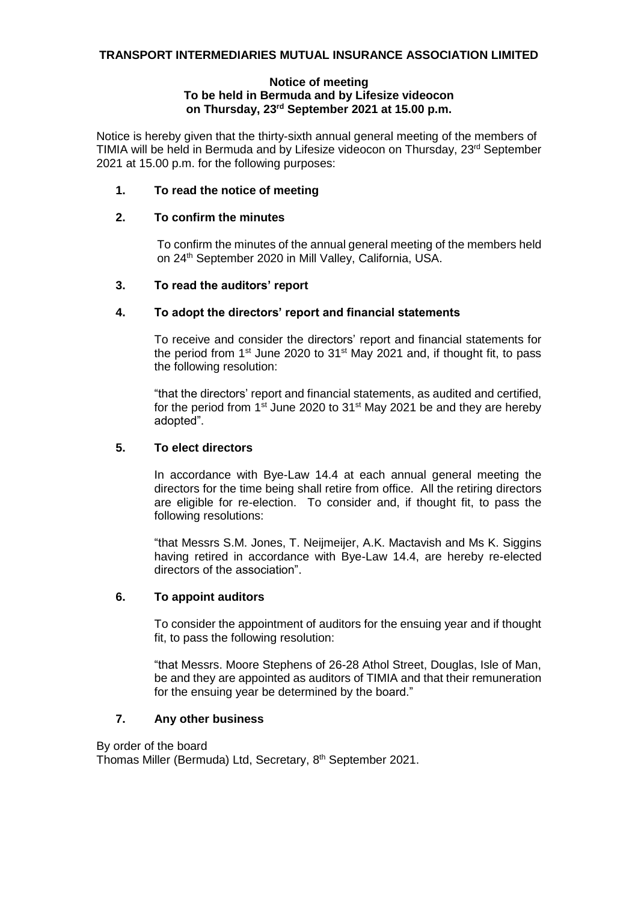#### **Notice of meeting To be held in Bermuda and by Lifesize videocon on Thursday, 23 rd September 2021 at 15.00 p.m.**

Notice is hereby given that the thirty-sixth annual general meeting of the members of TIMIA will be held in Bermuda and by Lifesize videocon on Thursday, 23rd September 2021 at 15.00 p.m. for the following purposes:

# **1. To read the notice of meeting**

# **2. To confirm the minutes**

To confirm the minutes of the annual general meeting of the members held on 24<sup>th</sup> September 2020 in Mill Valley, California, USA.

## **3. To read the auditors' report**

## **4. To adopt the directors' report and financial statements**

To receive and consider the directors' report and financial statements for the period from  $1<sup>st</sup>$  June 2020 to  $31<sup>st</sup>$  May 2021 and, if thought fit, to pass the following resolution:

"that the directors' report and financial statements, as audited and certified, for the period from  $1^{st}$  June 2020 to  $31^{st}$  May 2021 be and they are hereby adopted".

# **5. To elect directors**

In accordance with Bye-Law 14.4 at each annual general meeting the directors for the time being shall retire from office. All the retiring directors are eligible for re-election. To consider and, if thought fit, to pass the following resolutions:

"that Messrs S.M. Jones, T. Neijmeijer, A.K. Mactavish and Ms K. Siggins having retired in accordance with Bye-Law 14.4, are hereby re-elected directors of the association".

## **6. To appoint auditors**

To consider the appointment of auditors for the ensuing year and if thought fit, to pass the following resolution:

"that Messrs. Moore Stephens of 26-28 Athol Street, Douglas, Isle of Man, be and they are appointed as auditors of TIMIA and that their remuneration for the ensuing year be determined by the board."

## **7. Any other business**

By order of the board

Thomas Miller (Bermuda) Ltd, Secretary, 8<sup>th</sup> September 2021.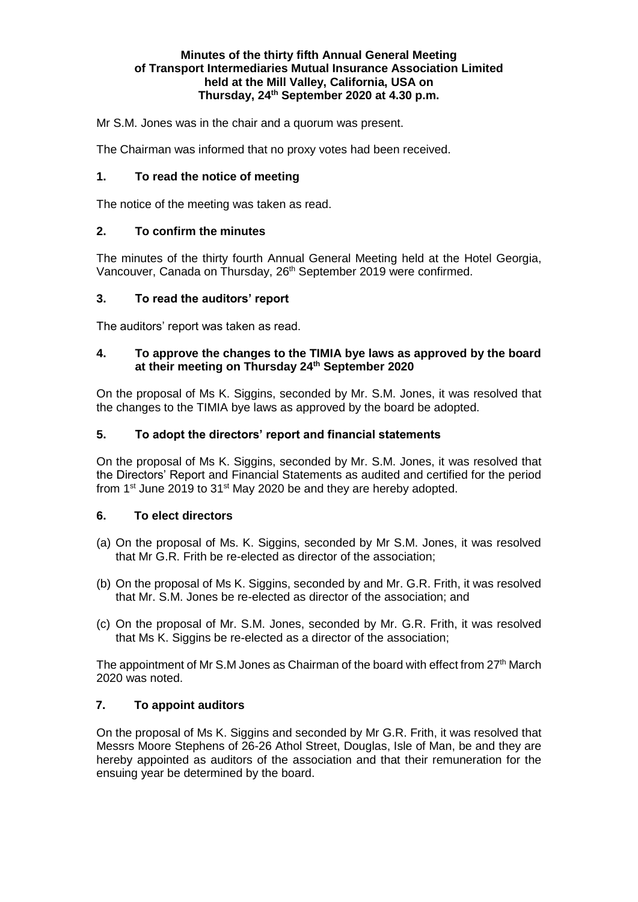#### **Minutes of the thirty fifth Annual General Meeting of Transport Intermediaries Mutual Insurance Association Limited held at the Mill Valley, California, USA on Thursday, 24 th September 2020 at 4.30 p.m.**

Mr S.M. Jones was in the chair and a quorum was present.

The Chairman was informed that no proxy votes had been received.

## **1. To read the notice of meeting**

The notice of the meeting was taken as read.

## **2. To confirm the minutes**

The minutes of the thirty fourth Annual General Meeting held at the Hotel Georgia, Vancouver, Canada on Thursday, 26<sup>th</sup> September 2019 were confirmed.

## **3. To read the auditors' report**

The auditors' report was taken as read.

#### **4. To approve the changes to the TIMIA bye laws as approved by the board at their meeting on Thursday 24th September 2020**

On the proposal of Ms K. Siggins, seconded by Mr. S.M. Jones, it was resolved that the changes to the TIMIA bye laws as approved by the board be adopted.

## **5. To adopt the directors' report and financial statements**

On the proposal of Ms K. Siggins, seconded by Mr. S.M. Jones, it was resolved that the Directors' Report and Financial Statements as audited and certified for the period from 1<sup>st</sup> June 2019 to 31<sup>st</sup> May 2020 be and they are hereby adopted.

## **6. To elect directors**

- (a) On the proposal of Ms. K. Siggins, seconded by Mr S.M. Jones, it was resolved that Mr G.R. Frith be re-elected as director of the association;
- (b) On the proposal of Ms K. Siggins, seconded by and Mr. G.R. Frith, it was resolved that Mr. S.M. Jones be re-elected as director of the association; and
- (c) On the proposal of Mr. S.M. Jones, seconded by Mr. G.R. Frith, it was resolved that Ms K. Siggins be re-elected as a director of the association;

The appointment of Mr S.M Jones as Chairman of the board with effect from 27<sup>th</sup> March 2020 was noted.

## **7. To appoint auditors**

On the proposal of Ms K. Siggins and seconded by Mr G.R. Frith, it was resolved that Messrs Moore Stephens of 26-26 Athol Street, Douglas, Isle of Man, be and they are hereby appointed as auditors of the association and that their remuneration for the ensuing year be determined by the board.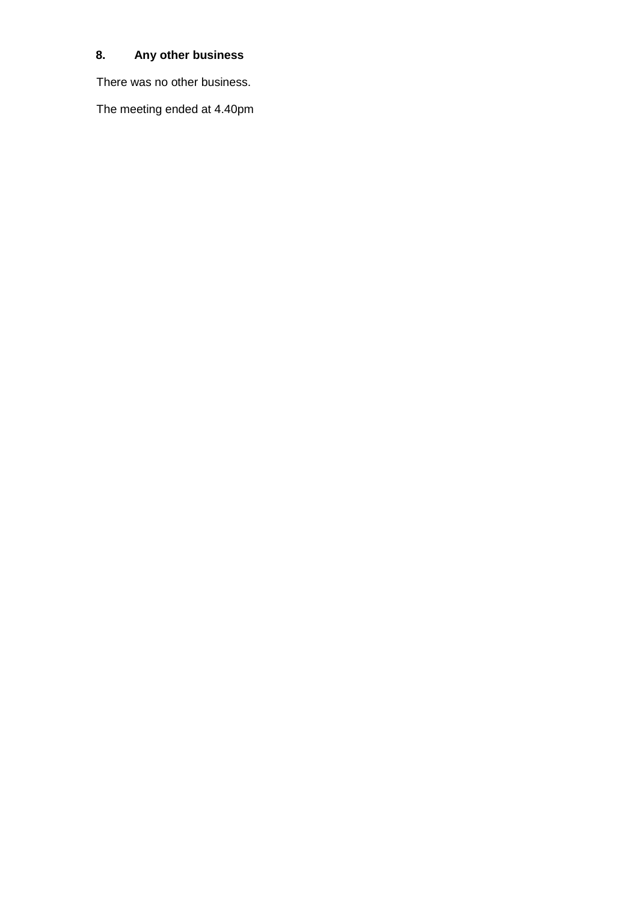# **8. Any other business**

There was no other business.

The meeting ended at 4.40pm